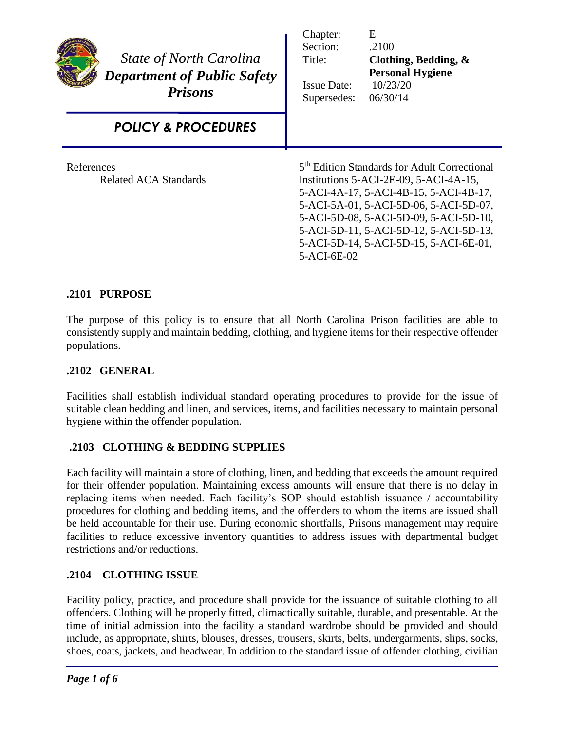| <b>State of North Carolina</b><br><b>Department of Public Safety</b><br><b>Prisons</b> | Chapter:<br>Section:<br>Title:<br><b>Issue Date:</b><br>Supersedes:                                                                                                                                                                                                                                                                 | E<br>.2100<br>Clothing, Bedding, &<br><b>Personal Hygiene</b><br>10/23/20<br>06/30/14 |
|----------------------------------------------------------------------------------------|-------------------------------------------------------------------------------------------------------------------------------------------------------------------------------------------------------------------------------------------------------------------------------------------------------------------------------------|---------------------------------------------------------------------------------------|
| <b>POLICY &amp; PROCEDURES</b>                                                         |                                                                                                                                                                                                                                                                                                                                     |                                                                                       |
| References<br><b>Related ACA Standards</b>                                             | 5 <sup>th</sup> Edition Standards for Adult Correctional<br>Institutions 5-ACI-2E-09, 5-ACI-4A-15,<br>5-ACI-4A-17, 5-ACI-4B-15, 5-ACI-4B-17,<br>5-ACI-5A-01, 5-ACI-5D-06, 5-ACI-5D-07,<br>5-ACI-5D-08, 5-ACI-5D-09, 5-ACI-5D-10,<br>5-ACI-5D-11, 5-ACI-5D-12, 5-ACI-5D-13,<br>5-ACI-5D-14, 5-ACI-5D-15, 5-ACI-6E-01,<br>5-ACI-6E-02 |                                                                                       |

# **.2101 PURPOSE**

The purpose of this policy is to ensure that all North Carolina Prison facilities are able to consistently supply and maintain bedding, clothing, and hygiene items for their respective offender populations.

### **.2102 GENERAL**

Facilities shall establish individual standard operating procedures to provide for the issue of suitable clean bedding and linen, and services, items, and facilities necessary to maintain personal hygiene within the offender population.

### **.2103 CLOTHING & BEDDING SUPPLIES**

Each facility will maintain a store of clothing, linen, and bedding that exceeds the amount required for their offender population. Maintaining excess amounts will ensure that there is no delay in replacing items when needed. Each facility's SOP should establish issuance / accountability procedures for clothing and bedding items, and the offenders to whom the items are issued shall be held accountable for their use. During economic shortfalls, Prisons management may require facilities to reduce excessive inventory quantities to address issues with departmental budget restrictions and/or reductions.

### **.2104 CLOTHING ISSUE**

Facility policy, practice, and procedure shall provide for the issuance of suitable clothing to all offenders. Clothing will be properly fitted, climactically suitable, durable, and presentable. At the time of initial admission into the facility a standard wardrobe should be provided and should include, as appropriate, shirts, blouses, dresses, trousers, skirts, belts, undergarments, slips, socks, shoes, coats, jackets, and headwear. In addition to the standard issue of offender clothing, civilian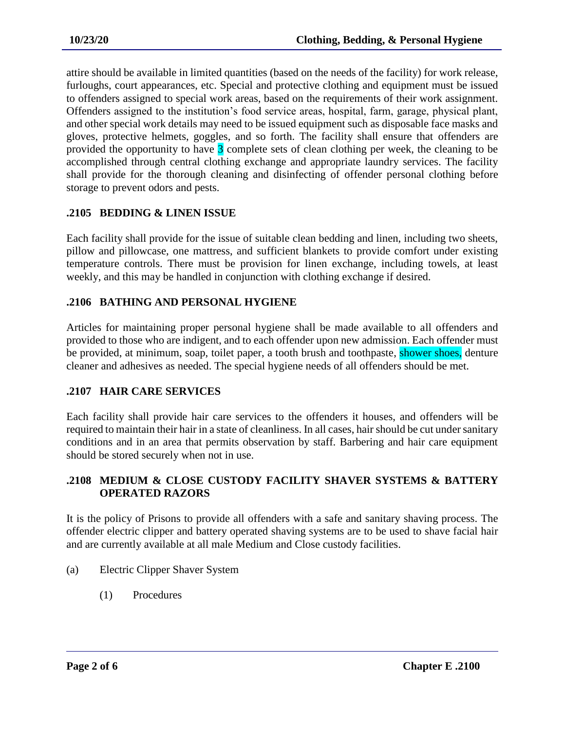attire should be available in limited quantities (based on the needs of the facility) for work release, furloughs, court appearances, etc. Special and protective clothing and equipment must be issued to offenders assigned to special work areas, based on the requirements of their work assignment. Offenders assigned to the institution's food service areas, hospital, farm, garage, physical plant, and other special work details may need to be issued equipment such as disposable face masks and gloves, protective helmets, goggles, and so forth. The facility shall ensure that offenders are provided the opportunity to have 3 complete sets of clean clothing per week, the cleaning to be accomplished through central clothing exchange and appropriate laundry services. The facility shall provide for the thorough cleaning and disinfecting of offender personal clothing before storage to prevent odors and pests.

### **.2105 BEDDING & LINEN ISSUE**

Each facility shall provide for the issue of suitable clean bedding and linen, including two sheets, pillow and pillowcase, one mattress, and sufficient blankets to provide comfort under existing temperature controls. There must be provision for linen exchange, including towels, at least weekly, and this may be handled in conjunction with clothing exchange if desired.

### **.2106 BATHING AND PERSONAL HYGIENE**

Articles for maintaining proper personal hygiene shall be made available to all offenders and provided to those who are indigent, and to each offender upon new admission. Each offender must be provided, at minimum, soap, toilet paper, a tooth brush and toothpaste, shower shoes, denture cleaner and adhesives as needed. The special hygiene needs of all offenders should be met.

## **.2107 HAIR CARE SERVICES**

Each facility shall provide hair care services to the offenders it houses, and offenders will be required to maintain their hair in a state of cleanliness. In all cases, hair should be cut under sanitary conditions and in an area that permits observation by staff. Barbering and hair care equipment should be stored securely when not in use.

### **.2108 MEDIUM & CLOSE CUSTODY FACILITY SHAVER SYSTEMS & BATTERY OPERATED RAZORS**

It is the policy of Prisons to provide all offenders with a safe and sanitary shaving process. The offender electric clipper and battery operated shaving systems are to be used to shave facial hair and are currently available at all male Medium and Close custody facilities.

- (a) Electric Clipper Shaver System
	- (1) Procedures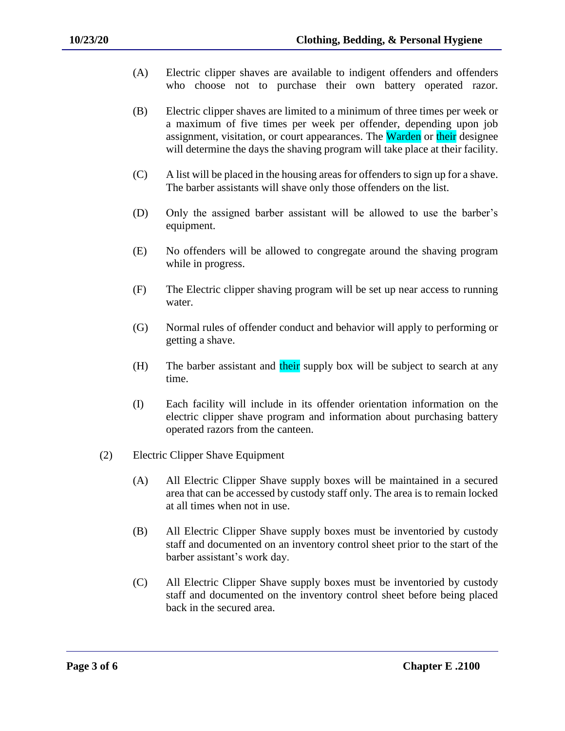- (A) Electric clipper shaves are available to indigent offenders and offenders who choose not to purchase their own battery operated razor.
- (B) Electric clipper shaves are limited to a minimum of three times per week or a maximum of five times per week per offender, depending upon job assignment, visitation, or court appearances. The Warden or their designee will determine the days the shaving program will take place at their facility.
- (C) A list will be placed in the housing areas for offenders to sign up for a shave. The barber assistants will shave only those offenders on the list.
- (D) Only the assigned barber assistant will be allowed to use the barber's equipment.
- (E) No offenders will be allowed to congregate around the shaving program while in progress.
- (F) The Electric clipper shaving program will be set up near access to running water.
- (G) Normal rules of offender conduct and behavior will apply to performing or getting a shave.
- (H) The barber assistant and their supply box will be subject to search at any time.
- (I) Each facility will include in its offender orientation information on the electric clipper shave program and information about purchasing battery operated razors from the canteen.
- (2) Electric Clipper Shave Equipment
	- (A) All Electric Clipper Shave supply boxes will be maintained in a secured area that can be accessed by custody staff only. The area is to remain locked at all times when not in use.
	- (B) All Electric Clipper Shave supply boxes must be inventoried by custody staff and documented on an inventory control sheet prior to the start of the barber assistant's work day.
	- (C) All Electric Clipper Shave supply boxes must be inventoried by custody staff and documented on the inventory control sheet before being placed back in the secured area.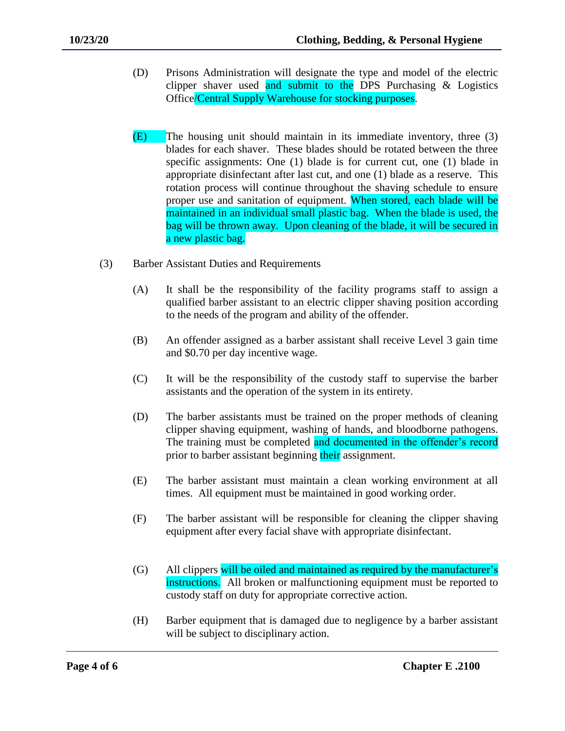- (D) Prisons Administration will designate the type and model of the electric clipper shaver used and submit to the DPS Purchasing  $\&$  Logistics Office/Central Supply Warehouse for stocking purposes.
- (E) The housing unit should maintain in its immediate inventory, three (3) blades for each shaver. These blades should be rotated between the three specific assignments: One (1) blade is for current cut, one (1) blade in appropriate disinfectant after last cut, and one (1) blade as a reserve. This rotation process will continue throughout the shaving schedule to ensure proper use and sanitation of equipment. When stored, each blade will be maintained in an individual small plastic bag. When the blade is used, the bag will be thrown away. Upon cleaning of the blade, it will be secured in a new plastic bag.
- (3) Barber Assistant Duties and Requirements
	- (A) It shall be the responsibility of the facility programs staff to assign a qualified barber assistant to an electric clipper shaving position according to the needs of the program and ability of the offender.
	- (B) An offender assigned as a barber assistant shall receive Level 3 gain time and \$0.70 per day incentive wage.
	- (C) It will be the responsibility of the custody staff to supervise the barber assistants and the operation of the system in its entirety.
	- (D) The barber assistants must be trained on the proper methods of cleaning clipper shaving equipment, washing of hands, and bloodborne pathogens. The training must be completed and documented in the offender's record prior to barber assistant beginning their assignment.
	- (E) The barber assistant must maintain a clean working environment at all times. All equipment must be maintained in good working order.
	- (F) The barber assistant will be responsible for cleaning the clipper shaving equipment after every facial shave with appropriate disinfectant.
	- (G) All clippers will be oiled and maintained as required by the manufacturer's instructions. All broken or malfunctioning equipment must be reported to custody staff on duty for appropriate corrective action.
	- (H) Barber equipment that is damaged due to negligence by a barber assistant will be subject to disciplinary action.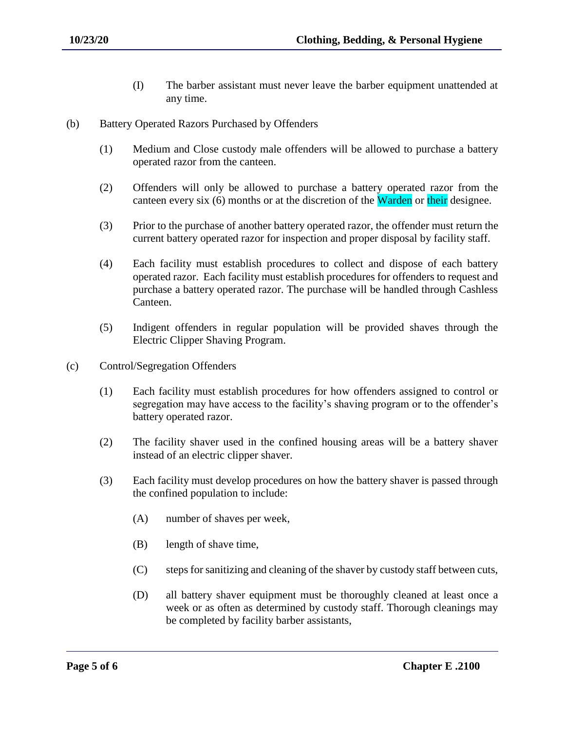- (I) The barber assistant must never leave the barber equipment unattended at any time.
- (b) Battery Operated Razors Purchased by Offenders
	- (1) Medium and Close custody male offenders will be allowed to purchase a battery operated razor from the canteen.
	- (2) Offenders will only be allowed to purchase a battery operated razor from the canteen every six (6) months or at the discretion of the Warden or their designee.
	- (3) Prior to the purchase of another battery operated razor, the offender must return the current battery operated razor for inspection and proper disposal by facility staff.
	- (4) Each facility must establish procedures to collect and dispose of each battery operated razor. Each facility must establish procedures for offenders to request and purchase a battery operated razor. The purchase will be handled through Cashless Canteen.
	- (5) Indigent offenders in regular population will be provided shaves through the Electric Clipper Shaving Program.
- (c) Control/Segregation Offenders
	- (1) Each facility must establish procedures for how offenders assigned to control or segregation may have access to the facility's shaving program or to the offender's battery operated razor.
	- (2) The facility shaver used in the confined housing areas will be a battery shaver instead of an electric clipper shaver.
	- (3) Each facility must develop procedures on how the battery shaver is passed through the confined population to include:
		- (A) number of shaves per week,
		- (B) length of shave time,
		- (C) steps for sanitizing and cleaning of the shaver by custody staff between cuts,
		- (D) all battery shaver equipment must be thoroughly cleaned at least once a week or as often as determined by custody staff. Thorough cleanings may be completed by facility barber assistants,